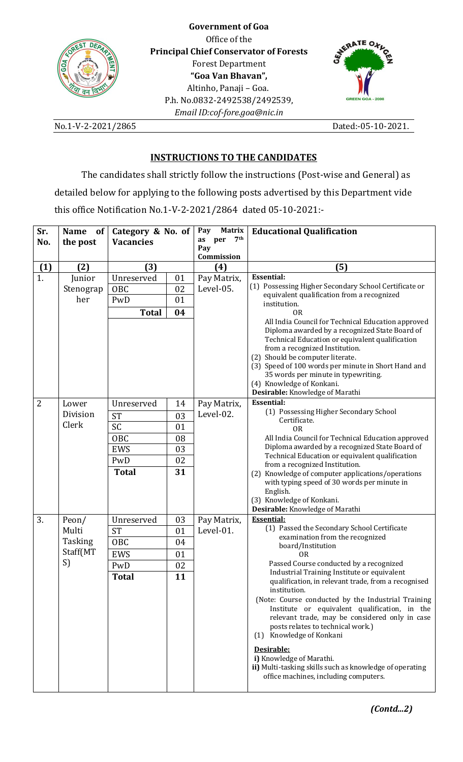

**Government of Goa** Office of the **Principal Chief Conservator of Forests** Forest Department **"Goa Van Bhavan",**  Altinho, Panaji – Goa. P.h. No.0832-2492538/2492539, *Email ID:cof-fore.goa@nic.in*



No.1-V-2-2021/2865 Dated:-05-10-2021.

# **INSTRUCTIONS TO THE CANDIDATES**

The candidates shall strictly follow the instructions (Post-wise and General) as detailed below for applying to the following posts advertised by this Department vide this office Notification No.1-V-2-2021/2864 dated 05-10-2021:-

| Sr. | <b>Name</b><br>of <sub>1</sub> | Category & No. of |    | <b>Matrix</b><br>Pay | <b>Educational Qualification</b>                                                                     |  |
|-----|--------------------------------|-------------------|----|----------------------|------------------------------------------------------------------------------------------------------|--|
| No. | the post                       | <b>Vacancies</b>  |    | 7th<br>as<br>per     |                                                                                                      |  |
|     |                                |                   |    | Pay<br>Commission    |                                                                                                      |  |
| (1) | (2)                            | (3)               |    | (4)                  | (5)                                                                                                  |  |
| 1.  | Junior                         | Unreserved        | 01 | Pay Matrix,          | <b>Essential:</b>                                                                                    |  |
|     |                                | OBC               | 02 | Level-05.            | (1) Possessing Higher Secondary School Certificate or                                                |  |
|     | Stenograp<br>her               |                   |    |                      | equivalent qualification from a recognized                                                           |  |
|     |                                | PwD               | 01 |                      | institution.                                                                                         |  |
|     |                                | <b>Total</b>      | 04 |                      | <b>OR</b>                                                                                            |  |
|     |                                |                   |    |                      | All India Council for Technical Education approved<br>Diploma awarded by a recognized State Board of |  |
|     |                                |                   |    |                      | Technical Education or equivalent qualification                                                      |  |
|     |                                |                   |    |                      | from a recognized Institution.                                                                       |  |
|     |                                |                   |    |                      | (2) Should be computer literate.                                                                     |  |
|     |                                |                   |    |                      | (3) Speed of 100 words per minute in Short Hand and                                                  |  |
|     |                                |                   |    |                      | 35 words per minute in typewriting.<br>(4) Knowledge of Konkani.                                     |  |
|     |                                |                   |    |                      | Desirable: Knowledge of Marathi                                                                      |  |
| 2   | Lower                          | Unreserved        | 14 | Pay Matrix,          | <b>Essential:</b>                                                                                    |  |
|     | Division                       | <b>ST</b>         | 03 | Level-02.            | (1) Possessing Higher Secondary School                                                               |  |
|     | Clerk                          | <b>SC</b>         |    |                      | Certificate.                                                                                         |  |
|     |                                |                   | 01 |                      | <b>OR</b>                                                                                            |  |
|     |                                | OBC               | 08 |                      | All India Council for Technical Education approved<br>Diploma awarded by a recognized State Board of |  |
|     |                                | <b>EWS</b>        | 03 |                      | Technical Education or equivalent qualification                                                      |  |
|     |                                | PwD               | 02 |                      | from a recognized Institution.                                                                       |  |
|     |                                | <b>Total</b>      | 31 |                      | (2) Knowledge of computer applications/operations                                                    |  |
|     |                                |                   |    |                      | with typing speed of 30 words per minute in                                                          |  |
|     |                                |                   |    |                      | English.<br>(3) Knowledge of Konkani.                                                                |  |
|     |                                |                   |    |                      | Desirable: Knowledge of Marathi                                                                      |  |
| 3.  | Peon/                          | Unreserved        | 03 | Pay Matrix,          | <b>Essential:</b>                                                                                    |  |
|     | Multi                          | <b>ST</b>         | 01 | Level-01.            | (1) Passed the Secondary School Certificate                                                          |  |
|     | Tasking<br>Staff(MT<br>S)      | OBC               | 04 |                      | examination from the recognized                                                                      |  |
|     |                                | <b>EWS</b>        | 01 |                      | board/Institution<br>0 <sub>R</sub>                                                                  |  |
|     |                                | PwD               | 02 |                      | Passed Course conducted by a recognized                                                              |  |
|     |                                | <b>Total</b>      | 11 |                      | Industrial Training Institute or equivalent                                                          |  |
|     |                                |                   |    |                      | qualification, in relevant trade, from a recognised                                                  |  |
|     |                                |                   |    |                      | institution.                                                                                         |  |
|     |                                |                   |    |                      | (Note: Course conducted by the Industrial Training<br>Institute or equivalent qualification, in the  |  |
|     |                                |                   |    |                      | relevant trade, may be considered only in case                                                       |  |
|     |                                |                   |    |                      | posts relates to technical work.)                                                                    |  |
|     |                                |                   |    |                      | Knowledge of Konkani<br>(1)                                                                          |  |
|     |                                |                   |    |                      | Desirable:                                                                                           |  |
|     |                                |                   |    |                      | i) Knowledge of Marathi.                                                                             |  |
|     |                                |                   |    |                      | ii) Multi-tasking skills such as knowledge of operating                                              |  |
|     |                                |                   |    |                      | office machines, including computers.                                                                |  |
|     |                                |                   |    |                      |                                                                                                      |  |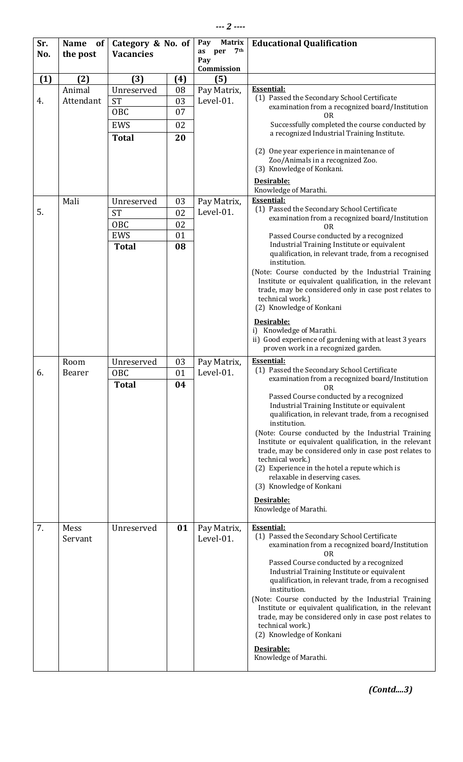| Sr. | <b>Name</b><br><b>of</b> | Category & No. of |          | <b>Matrix</b><br>Pay     | <b>Educational Qualification</b>                                                                                |
|-----|--------------------------|-------------------|----------|--------------------------|-----------------------------------------------------------------------------------------------------------------|
| No. | the post                 | <b>Vacancies</b>  |          | 7th<br>as<br>per<br>Pay  |                                                                                                                 |
|     |                          |                   |          | Commission               |                                                                                                                 |
| (1) | (2)                      | (3)               | (4)      | (5)                      |                                                                                                                 |
|     | Animal                   | Unreserved        | 08       | Pay Matrix,              | <b>Essential:</b>                                                                                               |
| 4.  | Attendant                | <b>ST</b>         | 03       | Level-01.                | (1) Passed the Secondary School Certificate                                                                     |
|     |                          | OBC               | 07       |                          | examination from a recognized board/Institution<br>OR                                                           |
|     |                          | <b>EWS</b>        | 02       |                          | Successfully completed the course conducted by                                                                  |
|     |                          | <b>Total</b>      | 20       |                          | a recognized Industrial Training Institute.                                                                     |
|     |                          |                   |          |                          | (2) One year experience in maintenance of                                                                       |
|     |                          |                   |          |                          | Zoo/Animals in a recognized Zoo.                                                                                |
|     |                          |                   |          |                          | (3) Knowledge of Konkani.                                                                                       |
|     |                          |                   |          |                          | Desirable:                                                                                                      |
|     |                          |                   |          |                          | Knowledge of Marathi.<br><b>Essential:</b>                                                                      |
| 5.  | Mali                     | Unreserved        | 03       | Pay Matrix,<br>Level-01. | (1) Passed the Secondary School Certificate                                                                     |
|     |                          | <b>ST</b>         | 02       |                          | examination from a recognized board/Institution                                                                 |
|     |                          | OBC<br><b>EWS</b> | 02<br>01 |                          | 0 <sub>R</sub><br>Passed Course conducted by a recognized                                                       |
|     |                          | <b>Total</b>      | 08       |                          | Industrial Training Institute or equivalent                                                                     |
|     |                          |                   |          |                          | qualification, in relevant trade, from a recognised                                                             |
|     |                          |                   |          |                          | institution.                                                                                                    |
|     |                          |                   |          |                          | (Note: Course conducted by the Industrial Training<br>Institute or equivalent qualification, in the relevant    |
|     |                          |                   |          |                          | trade, may be considered only in case post relates to                                                           |
|     |                          |                   |          |                          | technical work.)                                                                                                |
|     |                          |                   |          |                          | (2) Knowledge of Konkani                                                                                        |
|     |                          |                   |          |                          | Desirable:                                                                                                      |
|     |                          |                   |          |                          | Knowledge of Marathi.<br>i)<br>ii) Good experience of gardening with at least 3 years                           |
|     |                          |                   |          |                          | proven work in a recognized garden.                                                                             |
|     | Room                     | Unreserved        | 03       | Pay Matrix,              | <b>Essential:</b>                                                                                               |
| 6.  | Bearer                   | OBC               | 01       | Level-01.                | (1) Passed the Secondary School Certificate<br>examination from a recognized board/Institution                  |
|     |                          | <b>Total</b>      | 04       |                          | 0 <sub>R</sub>                                                                                                  |
|     |                          |                   |          |                          | Passed Course conducted by a recognized                                                                         |
|     |                          |                   |          |                          | Industrial Training Institute or equivalent<br>qualification, in relevant trade, from a recognised              |
|     |                          |                   |          |                          | institution.                                                                                                    |
|     |                          |                   |          |                          | (Note: Course conducted by the Industrial Training                                                              |
|     |                          |                   |          |                          | Institute or equivalent qualification, in the relevant<br>trade, may be considered only in case post relates to |
|     |                          |                   |          |                          | technical work.)                                                                                                |
|     |                          |                   |          |                          | (2) Experience in the hotel a repute which is                                                                   |
|     |                          |                   |          |                          | relaxable in deserving cases.<br>(3) Knowledge of Konkani                                                       |
|     |                          |                   |          |                          | Desirable:                                                                                                      |
|     |                          |                   |          |                          | Knowledge of Marathi.                                                                                           |
|     |                          |                   |          |                          |                                                                                                                 |
| 7.  | Mess<br>Servant          | Unreserved        | 01       | Pay Matrix,<br>Level-01. | <b>Essential:</b><br>(1) Passed the Secondary School Certificate                                                |
|     |                          |                   |          |                          | examination from a recognized board/Institution                                                                 |
|     |                          |                   |          |                          | 0 <sub>R</sub><br>Passed Course conducted by a recognized                                                       |
|     |                          |                   |          |                          | Industrial Training Institute or equivalent                                                                     |
|     |                          |                   |          |                          | qualification, in relevant trade, from a recognised                                                             |
|     |                          |                   |          |                          | institution.                                                                                                    |
|     |                          |                   |          |                          | (Note: Course conducted by the Industrial Training<br>Institute or equivalent qualification, in the relevant    |
|     |                          |                   |          |                          | trade, may be considered only in case post relates to                                                           |
|     |                          |                   |          |                          | technical work.)<br>(2) Knowledge of Konkani                                                                    |
|     |                          |                   |          |                          |                                                                                                                 |
|     |                          |                   |          |                          | Desirable:<br>Knowledge of Marathi.                                                                             |
|     |                          |                   |          |                          |                                                                                                                 |

*(Contd....3)*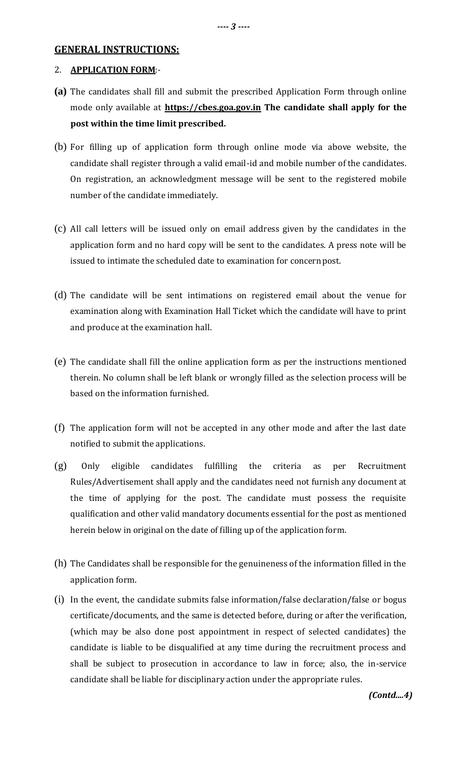### **GENERAL INSTRUCTIONS:**

### 2. **APPLICATION FORM**:-

- **(a)** The candidates shall fill and submit the prescribed Application Form through online mode only available at **https://cbes.goa.gov.in The candidate shall apply for the post within the time limit prescribed.**
- (b) For filling up of application form through online mode via above website, the candidate shall register through a valid email-id and mobile number of the candidates. On registration, an acknowledgment message will be sent to the registered mobile number of the candidate immediately.
- (c) All call letters will be issued only on email address given by the candidates in the application form and no hard copy will be sent to the candidates. A press note will be issued to intimate the scheduled date to examination for concernpost.
- (d) The candidate will be sent intimations on registered email about the venue for examination along with Examination Hall Ticket which the candidate will have to print and produce at the examination hall.
- (e) The candidate shall fill the online application form as per the instructions mentioned therein. No column shall be left blank or wrongly filled as the selection process will be based on the information furnished.
- (f) The application form will not be accepted in any other mode and after the last date notified to submit the applications.
- (g) Only eligible candidates fulfilling the criteria as per Recruitment Rules/Advertisement shall apply and the candidates need not furnish any document at the time of applying for the post. The candidate must possess the requisite qualification and other valid mandatory documents essential for the post as mentioned herein below in original on the date of filling up of the application form.
- (h) The Candidates shall be responsible for the genuineness of the information filled in the application form.
- (i) In the event, the candidate submits false information/false declaration/false or bogus certificate/documents, and the same is detected before, during or after the verification, (which may be also done post appointment in respect of selected candidates) the candidate is liable to be disqualified at any time during the recruitment process and shall be subject to prosecution in accordance to law in force; also, the in-service candidate shall be liable for disciplinary action under the appropriate rules.

*(Contd....4)*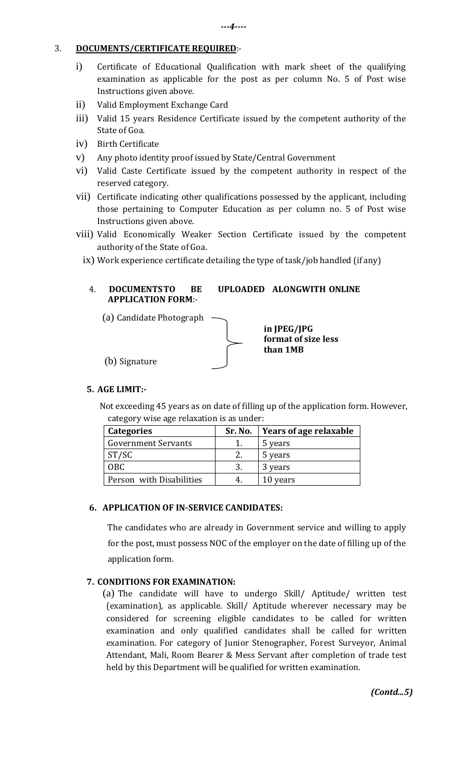### 3. **DOCUMENTS/CERTIFICATE REQUIRED**:-

- i) Certificate of Educational Qualification with mark sheet of the qualifying examination as applicable for the post as per column No. 5 of Post wise Instructions given above.
- ii) Valid Employment Exchange Card
- iii) Valid 15 years Residence Certificate issued by the competent authority of the State of Goa.
- iv) Birth Certificate
- v) Any photo identity proof issued by State/Central Government
- vi) Valid Caste Certificate issued by the competent authority in respect of the reserved category.
- vii) Certificate indicating other qualifications possessed by the applicant, including those pertaining to Computer Education as per column no. 5 of Post wise Instructions given above.
- viii) Valid Economically Weaker Section Certificate issued by the competent authority of the State of Goa.
	- ix) Work experience certificate detailing the type of task/job handled (if any)

## 4. **DOCUMENTSTO BE UPLOADED ALONGWITH ONLINE APPLICATION FORM**:-

(a) Candidate Photograph



**in JPEG/JPG format of size less than 1MB**

## **5. AGE LIMIT:-**

Not exceeding 45 years as on date of filling up of the application form. However, category wise age relaxation is as under:

| <b>Categories</b>          | Sr. No. | Years of age relaxable |
|----------------------------|---------|------------------------|
| <b>Government Servants</b> |         | 5 years                |
| ST/SC                      |         | 5 years                |
| <b>OBC</b>                 | 3.      | 3 years                |
| Person with Disabilities   |         | 10 years               |

## **6. APPLICATION OF IN-SERVICE CANDIDATES:**

The candidates who are already in Government service and willing to apply for the post, must possess NOC of the employer on the date of filling up of the application form.

## **7. CONDITIONS FOR EXAMINATION:**

(a) The candidate will have to undergo Skill/ Aptitude/ written test (examination), as applicable. Skill/ Aptitude wherever necessary may be considered for screening eligible candidates to be called for written examination and only qualified candidates shall be called for written examination. For category of Junior Stenographer, Forest Surveyor, Animal Attendant, Mali, Room Bearer & Mess Servant after completion of trade test held by this Department will be qualified for written examination.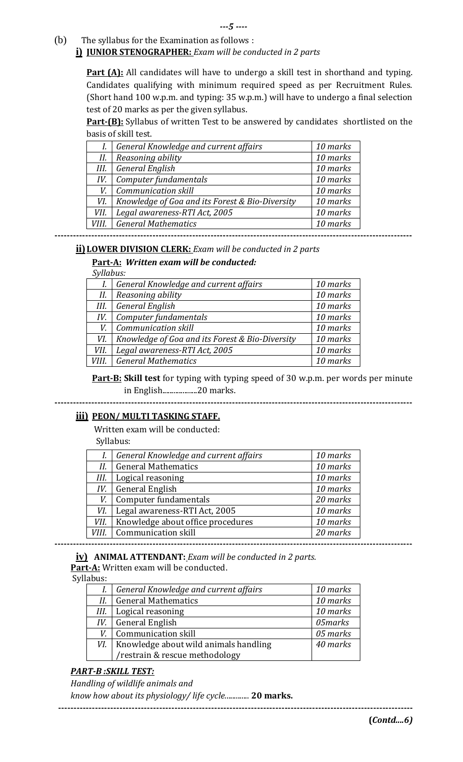(b) The syllabus for the Examination as follows :

### **i) JUNIOR STENOGRAPHER:** *Exam will be conducted in 2 parts*

**Part (A):** All candidates will have to undergo a skill test in shorthand and typing. Candidates qualifying with minimum required speed as per Recruitment Rules. (Short hand 100 w.p.m. and typing: 35 w.p.m.) will have to undergo a final selection test of 20 marks as per the given syllabus.

**Part-(B):** Syllabus of written Test to be answered by candidates shortlisted on the basis of skill test.

|       | General Knowledge and current affairs           | 10 marks |
|-------|-------------------------------------------------|----------|
| II.   | Reasoning ability                               | 10 marks |
| III.  | <b>General English</b>                          | 10 marks |
| IV.   | Computer fundamentals                           | 10 marks |
| V.    | Communication skill                             | 10 marks |
| VI.   | Knowledge of Goa and its Forest & Bio-Diversity | 10 marks |
| VII.  | Legal awareness-RTI Act, 2005                   | 10 marks |
| VIII. | <b>General Mathematics</b>                      | 10 marks |

**ii) LOWER DIVISION CLERK:** *Exam will be conducted in 2 parts*

## **Part-A:** *Written exam will be conducted:*

 *Syllabus:*

| -------- |                                                 |          |
|----------|-------------------------------------------------|----------|
| I.       | General Knowledge and current affairs           | 10 marks |
| II.      | Reasoning ability                               | 10 marks |
| III.     | <b>General English</b>                          | 10 marks |
| IV.      | Computer fundamentals                           | 10 marks |
| V.       | <b>Communication skill</b>                      | 10 marks |
| VI.      | Knowledge of Goa and its Forest & Bio-Diversity | 10 marks |
| VII.     | Legal awareness-RTI Act, 2005                   | 10 marks |
| VIII.    | <b>General Mathematics</b>                      | 10 marks |
|          |                                                 |          |

**Part-B: Skill test** for typing with typing speed of 30 w.p.m. per words per minute in English...................20 marks.

**---------------------------------------------------------------------------------------------------------------------**

## **iii) PEON/ MULTI TASKING STAFF.**

Written exam will be conducted:

Syllabus:

|       | General Knowledge and current affairs | 10 marks |
|-------|---------------------------------------|----------|
| II.   | <b>General Mathematics</b>            | 10 marks |
| III.  | Logical reasoning                     | 10 marks |
| IV.   | <b>General English</b>                | 10 marks |
| V.    | Computer fundamentals                 | 20 marks |
| VI.   | Legal awareness-RTI Act, 2005         | 10 marks |
| VII.  | Knowledge about office procedures     | 10 marks |
| VIII. | Communication skill                   | 20 marks |

**iv) ANIMAL ATTENDANT:** *Exam will be conducted in 2 parts.*

**Part-A:** Written exam will be conducted.

Syllabus:

| .avus. |                                       |          |
|--------|---------------------------------------|----------|
| I.     | General Knowledge and current affairs | 10 marks |
| Н.     | <b>General Mathematics</b>            | 10 marks |
| III.   | Logical reasoning                     | 10 marks |
| IV.    | <b>General English</b>                | 05marks  |
| V.     | <b>Communication skill</b>            | 05 marks |
| VI.    | Knowledge about wild animals handling | 40 marks |
|        | /restrain & rescue methodology        |          |

## *PART-B :SKILL TEST:*

*Handling of wildlife animals and* 

*know how about its physiology/ life cycle.*............ **20 marks.**

**--------------------------------------------------------------------------------------------------------------------**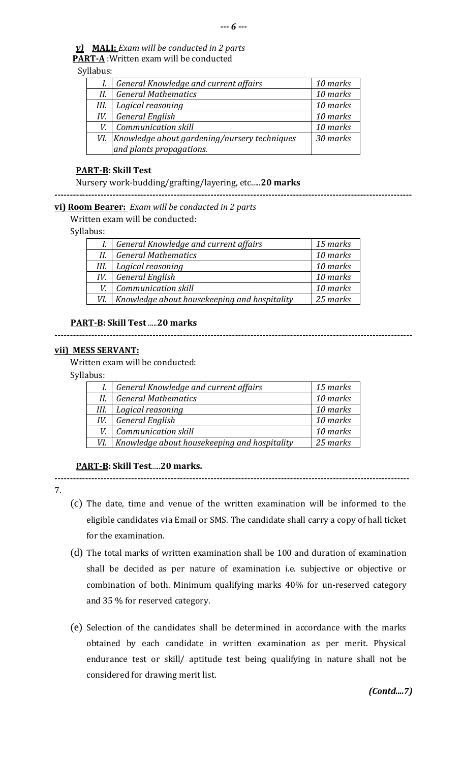# *v)* **MALI:** *Exam will be conducted in 2 parts*

 **PART-A** :Written exam will be conducted

## Syllabus:

|      | General Knowledge and current affairs            | 10 marks |
|------|--------------------------------------------------|----------|
| Н.   | <b>General Mathematics</b>                       | 10 marks |
| III. | Logical reasoning                                | 10 marks |
| IV.  | <b>General English</b>                           | 10 marks |
|      | <b>Communication skill</b>                       | 10 marks |
|      | VI. Knowledge about gardening/nursery techniques | 30 marks |
|      | and plants propagations.                         |          |

### **PART-B: Skill Test**

Nursery work-budding/grafting/layering, etc.....**20 marks**

**---------------------------------------------------------------------------------------------------------------------**

**---------------------------------------------------------------------------------------------------------------------**

#### **vi) Room Bearer:** *Exam will be conducted in 2 parts*

Written exam will be conducted:

## Syllabus:

|      | I. General Knowledge and current affairs     | 15 marks |
|------|----------------------------------------------|----------|
| Н.   | <b>General Mathematics</b>                   | 10 marks |
| III. | Logical reasoning                            | 10 marks |
| IV.  | General English                              | 10 marks |
| V.   | <b>Communication skill</b>                   | 10 marks |
| VI.  | Knowledge about housekeeping and hospitality | 25 marks |

### **PART-B: Skill Test** .....**20 marks**

#### **vii) MESS SERVANT:**

Written exam will be conducted:

Syllabus:

|      | General Knowledge and current affairs        | 15 marks |
|------|----------------------------------------------|----------|
| Н.   | <b>General Mathematics</b>                   | 10 marks |
| III. | Logical reasoning                            | 10 marks |
| IV.  | <b>General English</b>                       | 10 marks |
|      | <b>Communication skill</b>                   | 10 marks |
| VI.  | Knowledge about housekeeping and hospitality | 25 marks |

**--------------------------------------------------------------------------------------------------------------------**

#### **PART-B: Skill Test**.....**20 marks.**

7.

- (c) The date, time and venue of the written examination will be informed to the eligible candidates via Email or SMS. The candidate shall carry a copy of hall ticket for the examination.
- (d) The total marks of written examination shall be 100 and duration of examination shall be decided as per nature of examination i.e. subjective or objective or combination of both. Minimum qualifying marks 40% for un-reserved category and 35 % for reserved category.
- (e) Selection of the candidates shall be determined in accordance with the marks obtained by each candidate in written examination as per merit. Physical endurance test or skill/ aptitude test being qualifying in nature shall not be considered for drawing merit list.

*(Contd....7)*